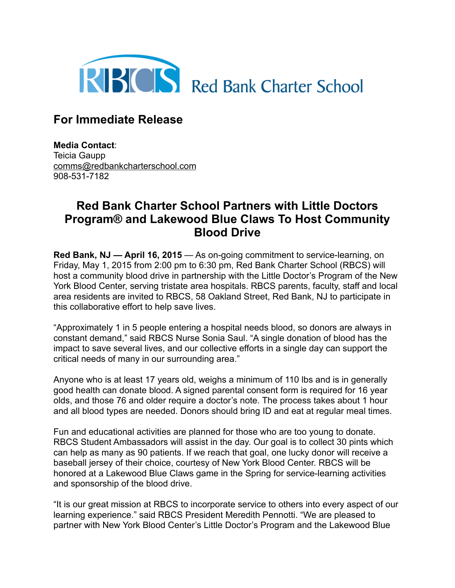

## **For Immediate Release**

**Media Contact**: Teicia Gaupp [comms@redbankcharterschool.com](mailto:comms@redbankcharterschool.com) 908-531-7182

## **Red Bank Charter School Partners with Little Doctors Program® and Lakewood Blue Claws To Host Community Blood Drive**

**Red Bank, NJ — April 16, 2015** — As on-going commitment to service-learning, on Friday, May 1, 2015 from 2:00 pm to 6:30 pm, Red Bank Charter School (RBCS) will host a community blood drive in partnership with the Little Doctor's Program of the New York Blood Center, serving tristate area hospitals. RBCS parents, faculty, staff and local area residents are invited to RBCS, 58 Oakland Street, Red Bank, NJ to participate in this collaborative effort to help save lives.

"Approximately 1 in 5 people entering a hospital needs blood, so donors are always in constant demand," said RBCS Nurse Sonia Saul. "A single donation of blood has the impact to save several lives, and our collective efforts in a single day can support the critical needs of many in our surrounding area."

Anyone who is at least 17 years old, weighs a minimum of 110 lbs and is in generally good health can donate blood. A signed parental consent form is required for 16 year olds, and those 76 and older require a doctor's note. The process takes about 1 hour and all blood types are needed. Donors should bring ID and eat at regular meal times.

Fun and educational activities are planned for those who are too young to donate. RBCS Student Ambassadors will assist in the day. Our goal is to collect 30 pints which can help as many as 90 patients. If we reach that goal, one lucky donor will receive a baseball jersey of their choice, courtesy of New York Blood Center. RBCS will be honored at a Lakewood Blue Claws game in the Spring for service-learning activities and sponsorship of the blood drive.

"It is our great mission at RBCS to incorporate service to others into every aspect of our learning experience." said RBCS President Meredith Pennotti. "We are pleased to partner with New York Blood Center's Little Doctor's Program and the Lakewood Blue